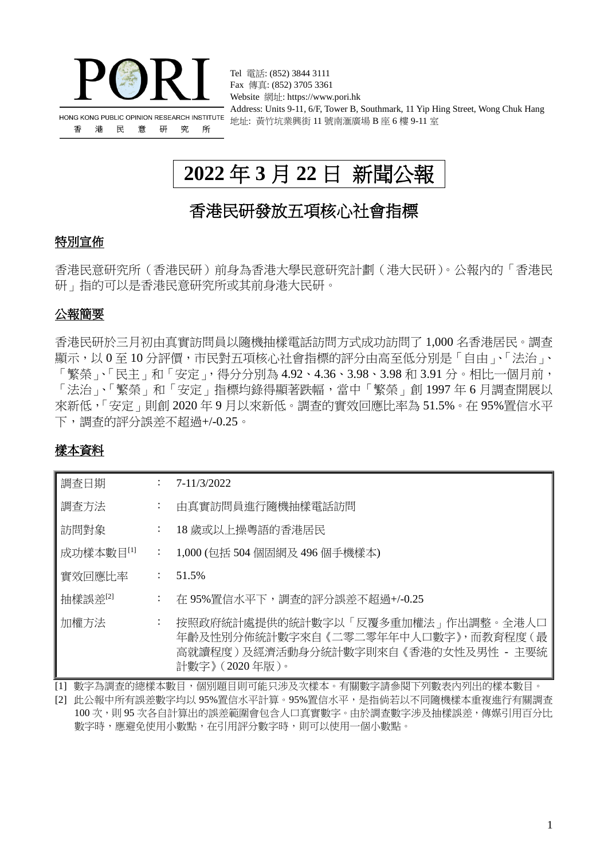

Tel 電話: (852) 3844 3111 Fax 傳真: (852) 3705 3361 Website 網址: https://www.pori.hk Address: Units 9-11, 6/F, Tower B, Southmark, 11 Yip Hing Street, Wong Chuk Hang 地址: 黃竹坑業興街 11 號南滙廣場 B 座 6 樓 9-11 室

# **2022** 年 **3** 月 **22** 日 新聞公報

# 香港民研發放五項核心社會指標

## 特別宣佈

香港民意研究所(香港民研)前身為香港大學民意研究計劃(港大民研)。公報內的「香港民 研」指的可以是香港民意研究所或其前身港大民研。

## 公報簡要

香港民研於三月初由真實訪問員以隨機抽樣電話訪問方式成功訪問了 1,000 名香港居民。調查 顯示,以 0 至 10 分評價,市民對五項核心社會指標的評分由高至低分別是「自由」、「法治」、 「繁榮」、「民主」和「安定」,得分分別為 4.92、4.36、3.98、3.98 和 3.91 分。相比一個月前, 「法治」、「繁榮」和「安定」指標均錄得顯著跌幅,當中「繁榮」創 1997 年 6 月調查開展以 來新低,「安定」則創 2020 年 9 月以來新低。調查的實效回應比率為 51.5%。在 95%置信水平 下,調查的評分誤差不超過+/-0.25。

## 樣本資料

| 調査日期      |                           | 7-11/3/2022                                                                                                                          |
|-----------|---------------------------|--------------------------------------------------------------------------------------------------------------------------------------|
| 調査方法      | $\ddot{\cdot}$            | 由真實訪問員進行隨機抽樣電話訪問                                                                                                                     |
| 訪問對象      | $\ddot{\cdot}$            | 18 歲或以上操粵語的香港居民                                                                                                                      |
| 成功樣本數目[1] | $\mathbb{Z}^{\mathbb{Z}}$ | - 1,000 (包括 504 個固網及 496 個手機樣本)                                                                                                      |
| 實效回應比率    | $\mathbb{Z}^{\mathbb{Z}}$ | 51.5%                                                                                                                                |
| 抽樣誤差[2]   | $\mathbb{Z}^{\mathbb{Z}}$ | 在 95%置信水平下,調查的評分誤差不超過+/-0.25                                                                                                         |
| 加權方法      | $\ddot{\cdot}$            | 按照政府統計處提供的統計數字以「反覆多重加權法」作出調整。全港人口<br>年齡及性別分佈統計數字來自《二零二零年年中人口數字》,而教育程度(最<br>高就讀程度 ) 及經濟活動身分統計數字則來自 《香港的女性及男性 - 主要統<br>計數字》 (2020年版 )。 |

[1] 數字為調查的總樣本數目,個別題目則可能只涉及次樣本。有關數字請參閱下列數表內列出的樣本數目

[2] 此公報中所有誤差數字均以 95%置信水平計算。95%置信水平,是指倘若以不同隨機樣本重複進行有關調查 100 次,則 95 次各自計算出的誤差範圍會包含人口真實數字。由於調查數字涉及抽樣誤差,傳媒引用百分比 數字時,應避免使用小數點,在引用評分數字時,則可以使用一個小數點。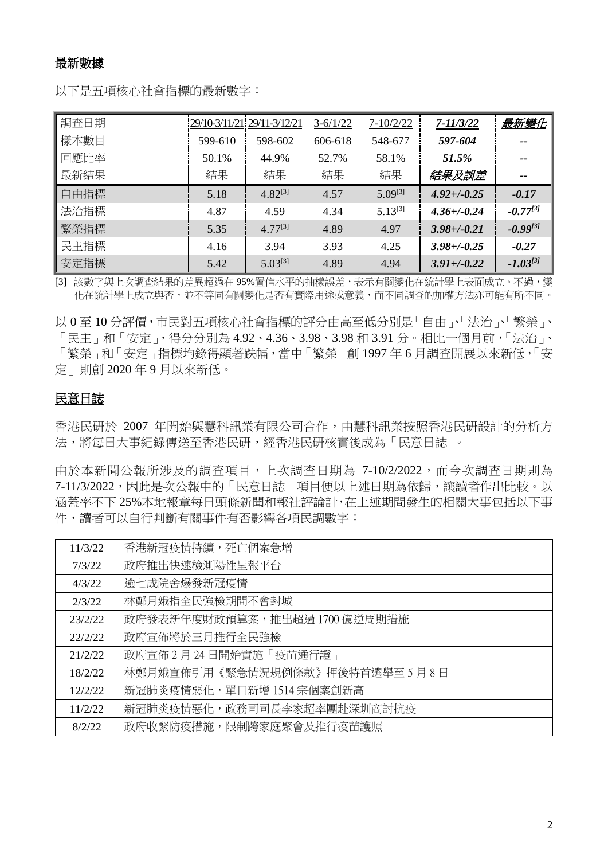### 最新數據

以下是五項核心社會指標的最新數字:

| 調查日期 |         | 29/10-3/11/21 29/11-3/12/21 | $3-6/1/22$ | $7 - 10/2/22$ | $7 - 11/3/22$    | 最新變化          |
|------|---------|-----------------------------|------------|---------------|------------------|---------------|
| 樣本數目 | 599-610 | 598-602                     | 606-618    | 548-677       | 597-604          |               |
| 回應比率 | 50.1%   | 44.9%                       | 52.7%      | 58.1%         | 51.5%            |               |
| 最新結果 | 結果      | 結果                          | 結果         | 結果            | 結果及誤差            | --            |
| 自由指標 | 5.18    | $4.82^{[3]}$                | 4.57       | $5.09^{[3]}$  | $4.92 + (-0.25)$ | $-0.17$       |
| 法治指標 | 4.87    | 4.59                        | 4.34       | $5.13^{[3]}$  | $4.36 + (-0.24)$ | $-0.77^{[3]}$ |
| 繁榮指標 | 5.35    | $4.77^{[3]}$                | 4.89       | 4.97          | $3.98 + (-0.21)$ | $-0.99^{[3]}$ |
| 民主指標 | 4.16    | 3.94                        | 3.93       | 4.25          | $3.98 + -0.25$   | $-0.27$       |
| 安定指標 | 5.42    | $5.03^{[3]}$                | 4.89       | 4.94          | $3.91 + (-0.22)$ | $-1.03^{[3]}$ |

[3] 該數字與上次調查結果的差異超過在 95%置信水平的抽樣誤差,表示有關變化在統計學上表面成立。不過,變 化在統計學上成立與否,並不等同有關變化是否有實際用途或意義,而不同調查的加權方法亦可能有所不同。

以 0 至 10 分評價,市民對五項核心社會指標的評分由高至低分別是「自由」、「法治」、「繁榮」、 「民主」和「安定」,得分分別為 4.92、4.36、3.98、3.98 和 3.91 分。相比一個月前,「法治」、 「繁榮」和「安定」指標均錄得顯著跌幅,當中「繁榮」創 1997 年 6 月調杳開展以來新低,「安 定」則創 2020 年 9 月以來新低。

### 民意日誌

香港民研於 2007 年開始與慧科訊業有限公司合作,由慧科訊業按照香港民研設計的分析方 法,將每日大事紀錄傳送至香港民研,經香港民研核實後成為「民意日誌」。

由於本新聞公報所涉及的調查項目,上次調查日期為 7-10/2/2022,而今次調查日期則為 7-11/3/2022,因此是次公報中的「民意日誌」項目便以上述日期為依歸,讓讀者作出比較。以 涵蓋率不下 25%本地報章每日頭條新聞和報社評論計,在上述期間發生的相關大事包括以下事 件,讀者可以自行判斷有關事件有否影響各項民調數字:

| 11/3/22 | 香港新冠疫情持續,死亡個案急增               |
|---------|-------------------------------|
| 7/3/22  | 政府推出快速檢測陽性呈報平台                |
| 4/3/22  | 逾七成院舍爆發新冠疫情                   |
| 2/3/22  | 林鄭月娥指全民強檢期間不會封城               |
| 23/2/22 | 政府發表新年度財政預算案,推出超過 1700 億逆周期措施 |
| 22/2/22 | 政府宣佈將於三月推行全民強檢                |
| 21/2/22 | 政府宣佈 2月24日開始實施「疫苗通行證」         |
| 18/2/22 | 林鄭月娥宣佈引用《緊急情況規例條款》押後特首選舉至5月8日 |
| 12/2/22 | 新冠肺炎疫情惡化,單日新增 1514 宗個案創新高     |
| 11/2/22 | 新冠肺炎疫情惡化,政務司司長李家超率團赴深圳商討抗疫    |
| 8/2/22  | 政府收緊防疫措施,限制跨家庭聚會及推行疫苗護照       |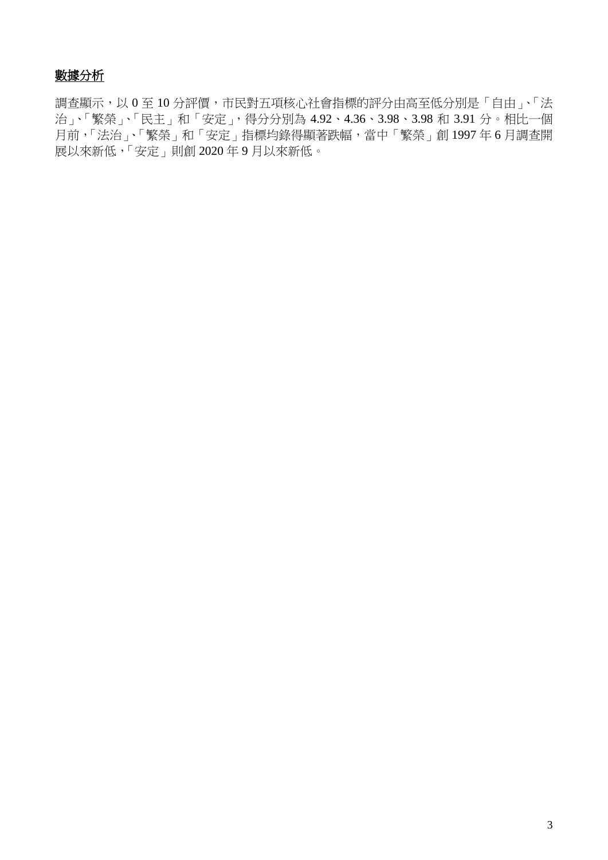# 數據分析

調查顯示,以 0至10分評價,市民對五項核心社會指標的評分由高至低分別是「自由」、「法 治」、「繁榮」、「民主」和「安定」,得分分別為 4.92、4.36、3.98、3.98 和 3.91 分。相比一個 月前,「法治」、「繁榮」和「安定」指標均錄得顯著跌幅,當中「繁榮」創 1997年6月調查開 展以來新低,「安定」則創 2020 年 9 月以來新低。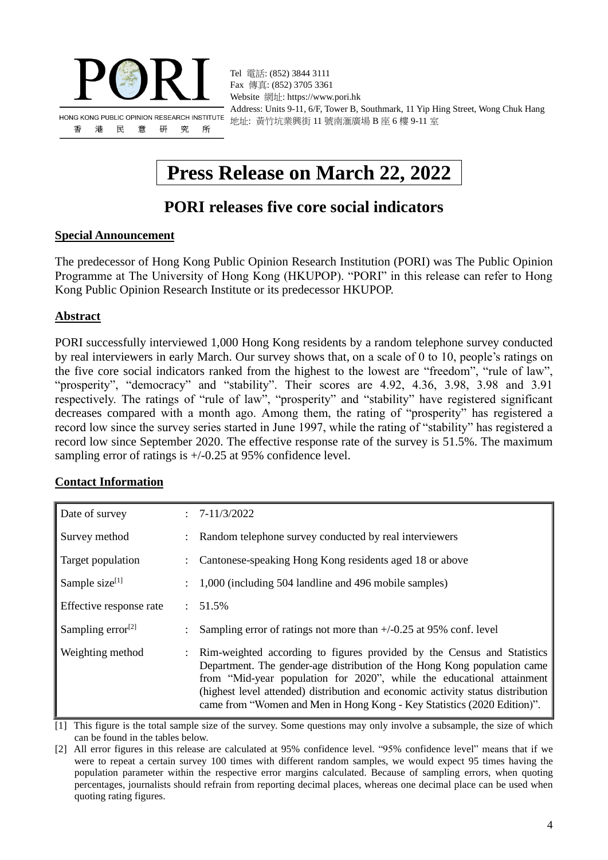

Tel 電話: (852) 3844 3111 Fax 傳真: (852) 3705 3361 Website 網址: https://www.pori.hk Address: Units 9-11, 6/F, Tower B, Southmark, 11 Yip Hing Street, Wong Chuk Hang 地址: 黃竹坑業興街 11 號南滙廣場 B 座 6 樓 9-11 室

# **Press Release on March 22, 2022**

# **PORI releases five core social indicators**

### **Special Announcement**

The predecessor of Hong Kong Public Opinion Research Institution (PORI) was The Public Opinion Programme at The University of Hong Kong (HKUPOP). "PORI" in this release can refer to Hong Kong Public Opinion Research Institute or its predecessor HKUPOP.

### **Abstract**

PORI successfully interviewed 1,000 Hong Kong residents by a random telephone survey conducted by real interviewers in early March. Our survey shows that, on a scale of 0 to 10, people's ratings on the five core social indicators ranked from the highest to the lowest are "freedom", "rule of law", "prosperity", "democracy" and "stability". Their scores are 4.92, 4.36, 3.98, 3.98 and 3.91 respectively. The ratings of "rule of law", "prosperity" and "stability" have registered significant decreases compared with a month ago. Among them, the rating of "prosperity" has registered a record low since the survey series started in June 1997, while the rating of "stability" has registered a record low since September 2020. The effective response rate of the survey is 51.5%. The maximum sampling error of ratings is +/-0.25 at 95% confidence level.

### **Contact Information**

| Date of survey                |                      | $: 7-11/3/2022$                                                                                                                                                                                                                                                                                                                                                                            |
|-------------------------------|----------------------|--------------------------------------------------------------------------------------------------------------------------------------------------------------------------------------------------------------------------------------------------------------------------------------------------------------------------------------------------------------------------------------------|
| Survey method                 |                      | : Random telephone survey conducted by real interviewers                                                                                                                                                                                                                                                                                                                                   |
| Target population             |                      | Cantonese-speaking Hong Kong residents aged 18 or above                                                                                                                                                                                                                                                                                                                                    |
| Sample size <sup>[1]</sup>    | $\ddot{\phantom{0}}$ | 1,000 (including 504 landline and 496 mobile samples)                                                                                                                                                                                                                                                                                                                                      |
| Effective response rate       | $\mathcal{L}$        | 51.5%                                                                                                                                                                                                                                                                                                                                                                                      |
| Sampling error <sup>[2]</sup> |                      | Sampling error of ratings not more than $+/-0.25$ at 95% conf. level                                                                                                                                                                                                                                                                                                                       |
| Weighting method              | $\mathcal{L}$        | Rim-weighted according to figures provided by the Census and Statistics<br>Department. The gender-age distribution of the Hong Kong population came<br>from "Mid-year population for 2020", while the educational attainment<br>(highest level attended) distribution and economic activity status distribution<br>came from "Women and Men in Hong Kong - Key Statistics (2020 Edition)". |

[1] This figure is the total sample size of the survey. Some questions may only involve a subsample, the size of which can be found in the tables below.

[2] All error figures in this release are calculated at 95% confidence level. "95% confidence level" means that if we were to repeat a certain survey 100 times with different random samples, we would expect 95 times having the population parameter within the respective error margins calculated. Because of sampling errors, when quoting percentages, journalists should refrain from reporting decimal places, whereas one decimal place can be used when quoting rating figures.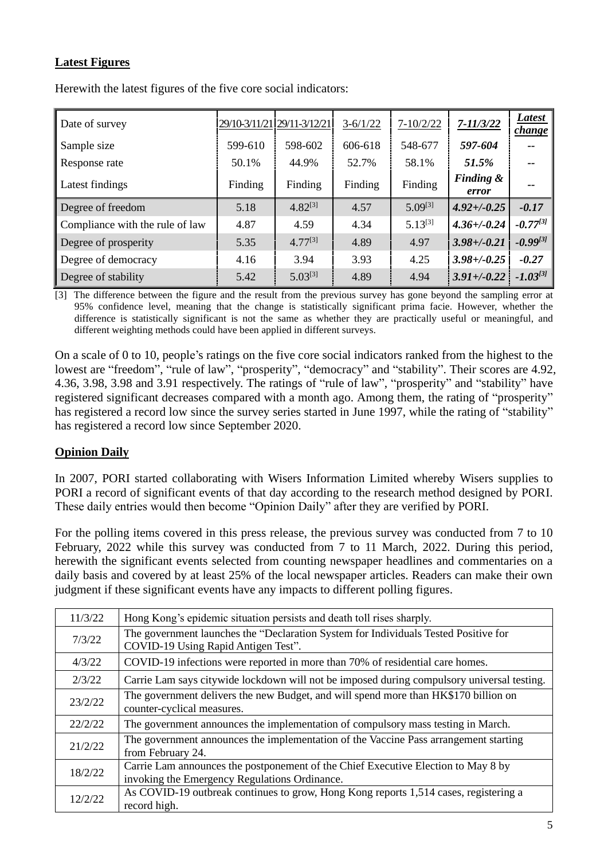### **Latest Figures**

| Date of survey                  |         | 29/10-3/11/21 29/11-3/12/21 | $3-6/1/22$ | $7 - 10/2/22$ | $7 - 11/3/22$      | Latest<br><i>change</i> |
|---------------------------------|---------|-----------------------------|------------|---------------|--------------------|-------------------------|
| Sample size                     | 599-610 | 598-602                     | 606-618    | 548-677       | 597-604            | --                      |
| Response rate                   | 50.1%   | 44.9%                       | 52.7%      | 58.1%         | 51.5%              | --                      |
| Latest findings                 | Finding | Finding                     | Finding    | Finding       | Finding &<br>error | --                      |
| Degree of freedom               | 5.18    | $4.82^{[3]}$                | 4.57       | $5.09^{[3]}$  | $4.92 + (-0.25)$   | $-0.17$                 |
| Compliance with the rule of law | 4.87    | 4.59                        | 4.34       | $5.13^{[3]}$  | $4.36 + (-0.24)$   | $-0.77^{[3]}$           |
| Degree of prosperity            | 5.35    | $4.77^{[3]}$                | 4.89       | 4.97          | $3.98 + (-0.21)$   | $-0.99^{[3]}$           |
| Degree of democracy             | 4.16    | 3.94                        | 3.93       | 4.25          | $3.98 + (-0.25)$   | $-0.27$                 |
| Degree of stability             | 5.42    | $5.03^{[3]}$                | 4.89       | 4.94          | $3.91 + (-0.22)$   | $-1.03^{[3]}$           |

Herewith the latest figures of the five core social indicators:

[3] The difference between the figure and the result from the previous survey has gone beyond the sampling error at 95% confidence level, meaning that the change is statistically significant prima facie. However, whether the difference is statistically significant is not the same as whether they are practically useful or meaningful, and different weighting methods could have been applied in different surveys.

On a scale of 0 to 10, people's ratings on the five core social indicators ranked from the highest to the lowest are "freedom", "rule of law", "prosperity", "democracy" and "stability". Their scores are 4.92, 4.36, 3.98, 3.98 and 3.91 respectively. The ratings of "rule of law", "prosperity" and "stability" have registered significant decreases compared with a month ago. Among them, the rating of "prosperity" has registered a record low since the survey series started in June 1997, while the rating of "stability" has registered a record low since September 2020.

### **Opinion Daily**

In 2007, PORI started collaborating with Wisers Information Limited whereby Wisers supplies to PORI a record of significant events of that day according to the research method designed by PORI. These daily entries would then become "Opinion Daily" after they are verified by PORI.

For the polling items covered in this press release, the previous survey was conducted from 7 to 10 February, 2022 while this survey was conducted from 7 to 11 March, 2022. During this period, herewith the significant events selected from counting newspaper headlines and commentaries on a daily basis and covered by at least 25% of the local newspaper articles. Readers can make their own judgment if these significant events have any impacts to different polling figures.

| 11/3/22 | Hong Kong's epidemic situation persists and death toll rises sharply.                                                              |
|---------|------------------------------------------------------------------------------------------------------------------------------------|
| 7/3/22  | The government launches the "Declaration System for Individuals Tested Positive for<br>COVID-19 Using Rapid Antigen Test".         |
| 4/3/22  | COVID-19 infections were reported in more than 70% of residential care homes.                                                      |
| 2/3/22  | Carrie Lam says citywide lockdown will not be imposed during compulsory universal testing.                                         |
| 23/2/22 | The government delivers the new Budget, and will spend more than HK\$170 billion on<br>counter-cyclical measures.                  |
| 22/2/22 | The government announces the implementation of compulsory mass testing in March.                                                   |
| 21/2/22 | The government announces the implementation of the Vaccine Pass arrangement starting<br>from February 24.                          |
| 18/2/22 | Carrie Lam announces the postponement of the Chief Executive Election to May 8 by<br>invoking the Emergency Regulations Ordinance. |
| 12/2/22 | As COVID-19 outbreak continues to grow, Hong Kong reports 1,514 cases, registering a<br>record high.                               |